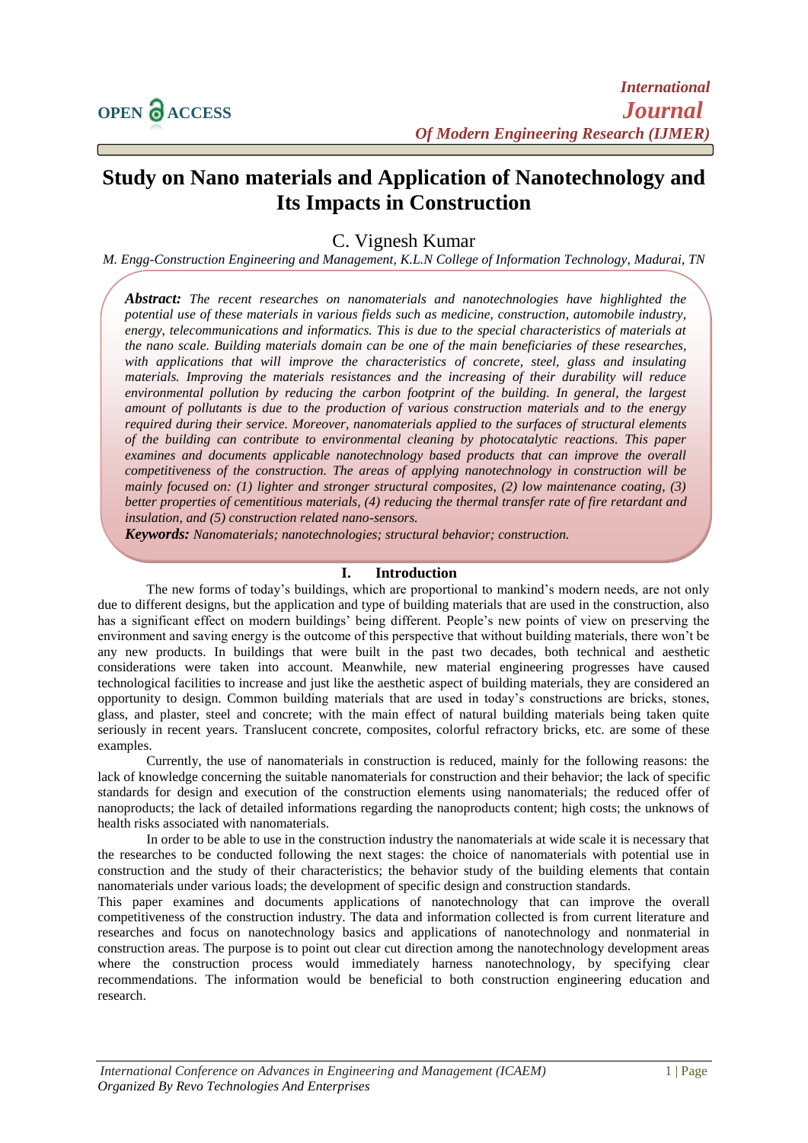# **Study on Nano materials and Application of Nanotechnology and Its Impacts in Construction**

C. Vignesh Kumar

*M. Engg-Construction Engineering and Management, K.L.N College of Information Technology, Madurai, TN*

*Abstract: The recent researches on nanomaterials and nanotechnologies have highlighted the potential use of these materials in various fields such as medicine, construction, automobile industry, energy, telecommunications and informatics. This is due to the special characteristics of materials at the nano scale. Building materials domain can be one of the main beneficiaries of these researches, with applications that will improve the characteristics of concrete, steel, glass and insulating materials. Improving the materials resistances and the increasing of their durability will reduce environmental pollution by reducing the carbon footprint of the building. In general, the largest amount of pollutants is due to the production of various construction materials and to the energy required during their service. Moreover, nanomaterials applied to the surfaces of structural elements of the building can contribute to environmental cleaning by photocatalytic reactions. This paper examines and documents applicable nanotechnology based products that can improve the overall competitiveness of the construction. The areas of applying nanotechnology in construction will be mainly focused on: (1) lighter and stronger structural composites, (2) low maintenance coating, (3) better properties of cementitious materials, (4) reducing the thermal transfer rate of fire retardant and insulation, and (5) construction related nano-sensors.*

*Keywords: Nanomaterials; nanotechnologies; structural behavior; construction.*

## **I. Introduction**

The new forms of today's buildings, which are proportional to mankind's modern needs, are not only due to different designs, but the application and type of building materials that are used in the construction, also has a significant effect on modern buildings' being different. People's new points of view on preserving the environment and saving energy is the outcome of this perspective that without building materials, there won't be any new products. In buildings that were built in the past two decades, both technical and aesthetic considerations were taken into account. Meanwhile, new material engineering progresses have caused technological facilities to increase and just like the aesthetic aspect of building materials, they are considered an opportunity to design. Common building materials that are used in today's constructions are bricks, stones, glass, and plaster, steel and concrete; with the main effect of natural building materials being taken quite seriously in recent years. Translucent concrete, composites, colorful refractory bricks, etc. are some of these examples.

Currently, the use of nanomaterials in construction is reduced, mainly for the following reasons: the lack of knowledge concerning the suitable nanomaterials for construction and their behavior; the lack of specific standards for design and execution of the construction elements using nanomaterials; the reduced offer of nanoproducts; the lack of detailed informations regarding the nanoproducts content; high costs; the unknows of health risks associated with nanomaterials.

In order to be able to use in the construction industry the nanomaterials at wide scale it is necessary that the researches to be conducted following the next stages: the choice of nanomaterials with potential use in construction and the study of their characteristics; the behavior study of the building elements that contain nanomaterials under various loads; the development of specific design and construction standards.

This paper examines and documents applications of nanotechnology that can improve the overall competitiveness of the construction industry. The data and information collected is from current literature and researches and focus on nanotechnology basics and applications of nanotechnology and nonmaterial in construction areas. The purpose is to point out clear cut direction among the nanotechnology development areas where the construction process would immediately harness nanotechnology, by specifying clear recommendations. The information would be beneficial to both construction engineering education and research.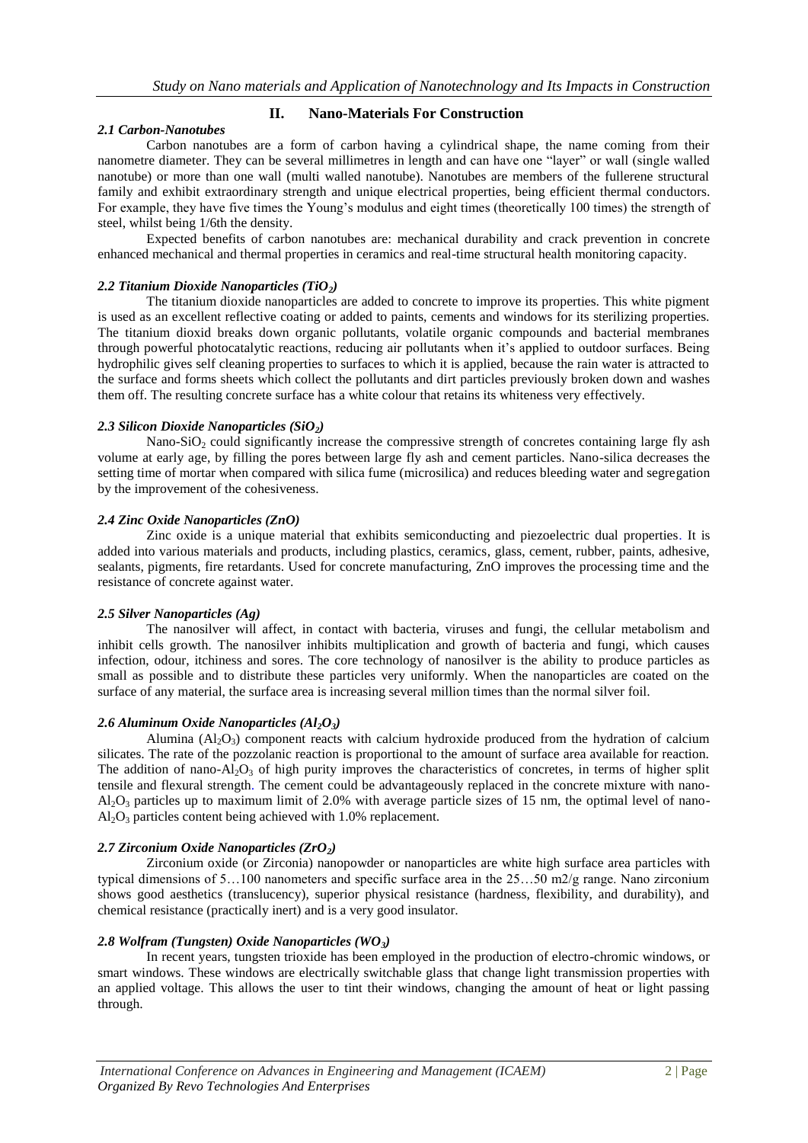# **II. Nano-Materials For Construction**

## *2.1 Carbon-Nanotubes*

Carbon nanotubes are a form of carbon having a cylindrical shape, the name coming from their nanometre diameter. They can be several millimetres in length and can have one "layer" or wall (single walled nanotube) or more than one wall (multi walled nanotube). Nanotubes are members of the fullerene structural family and exhibit extraordinary strength and unique electrical properties, being efficient thermal conductors. For example, they have five times the Young's modulus and eight times (theoretically 100 times) the strength of steel, whilst being 1/6th the density.

Expected benefits of carbon nanotubes are: mechanical durability and crack prevention in concrete enhanced mechanical and thermal properties in ceramics and real-time structural health monitoring capacity.

## *2.2 Titanium Dioxide Nanoparticles (TiO2)*

The titanium dioxide nanoparticles are added to concrete to improve its properties. This white pigment is used as an excellent reflective coating or added to paints, cements and windows for its sterilizing properties. The titanium dioxid breaks down organic pollutants, volatile organic compounds and bacterial membranes through powerful photocatalytic reactions, reducing air pollutants when it's applied to outdoor surfaces. Being hydrophilic gives self cleaning properties to surfaces to which it is applied, because the rain water is attracted to the surface and forms sheets which collect the pollutants and dirt particles previously broken down and washes them off. The resulting concrete surface has a white colour that retains its whiteness very effectively.

## *2.3 Silicon Dioxide Nanoparticles (SiO2)*

Nano-SiO<sub>2</sub> could significantly increase the compressive strength of concretes containing large fly ash volume at early age, by filling the pores between large fly ash and cement particles. Nano-silica decreases the setting time of mortar when compared with silica fume (microsilica) and reduces bleeding water and segregation by the improvement of the cohesiveness.

## *2.4 Zinc Oxide Nanoparticles (ZnO)*

Zinc oxide is a unique material that exhibits semiconducting and piezoelectric dual properties. It is added into various materials and products, including plastics, ceramics, glass, cement, rubber, paints, adhesive, sealants, pigments, fire retardants. Used for concrete manufacturing, ZnO improves the processing time and the resistance of concrete against water.

# *2.5 Silver Nanoparticles (Ag)*

The nanosilver will affect, in contact with bacteria, viruses and fungi, the cellular metabolism and inhibit cells growth. The nanosilver inhibits multiplication and growth of bacteria and fungi, which causes infection, odour, itchiness and sores. The core technology of nanosilver is the ability to produce particles as small as possible and to distribute these particles very uniformly. When the nanoparticles are coated on the surface of any material, the surface area is increasing several million times than the normal silver foil.

#### 2.6 Aluminum Oxide Nanoparticles  $(A_1, O_3)$

Alumina  $(A_1, O_3)$  component reacts with calcium hydroxide produced from the hydration of calcium silicates. The rate of the pozzolanic reaction is proportional to the amount of surface area available for reaction. The addition of nano-Al<sub>2</sub>O<sub>3</sub> of high purity improves the characteristics of concretes, in terms of higher split tensile and flexural strength. The cement could be advantageously replaced in the concrete mixture with nano- $A<sub>1</sub>Q<sub>3</sub>$  particles up to maximum limit of 2.0% with average particle sizes of 15 nm, the optimal level of nano- $Al_2O_3$  particles content being achieved with 1.0% replacement.

# *2.7 Zirconium Oxide Nanoparticles (ZrO2)*

Zirconium oxide (or Zirconia) nanopowder or nanoparticles are white high surface area particles with typical dimensions of 5…100 nanometers and specific surface area in the 25…50 m2/g range. Nano zirconium shows good aesthetics (translucency), superior physical resistance (hardness, flexibility, and durability), and chemical resistance (practically inert) and is a very good insulator.

# *2.8 Wolfram (Tungsten) Oxide Nanoparticles (WO3)*

In recent years, tungsten trioxide has been employed in the production of electro-chromic windows, or smart windows. These windows are electrically switchable glass that change light transmission properties with an applied voltage. This allows the user to tint their windows, changing the amount of heat or light passing through.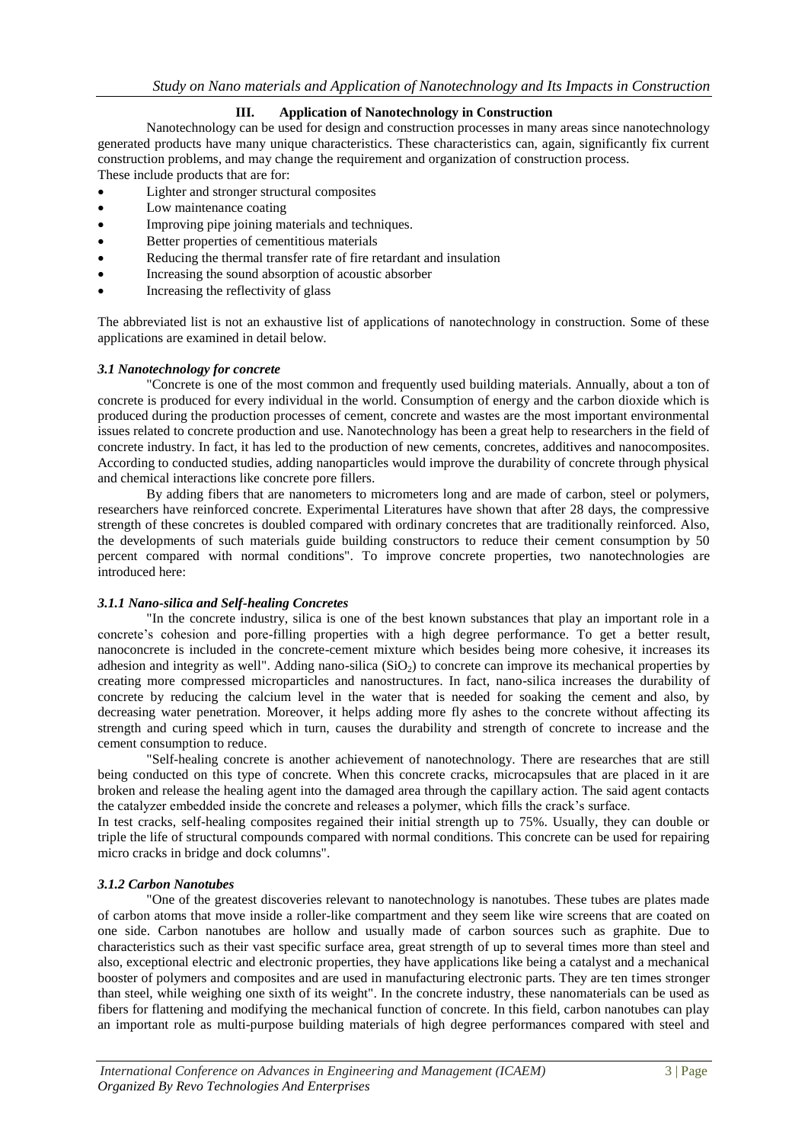# **III. Application of Nanotechnology in Construction**

Nanotechnology can be used for design and construction processes in many areas since nanotechnology generated products have many unique characteristics. These characteristics can, again, significantly fix current construction problems, and may change the requirement and organization of construction process. These include products that are for:

- Lighter and stronger structural composites
- Low maintenance coating
- Improving pipe joining materials and techniques.
- Better properties of cementitious materials
- Reducing the thermal transfer rate of fire retardant and insulation
- Increasing the sound absorption of acoustic absorber
- Increasing the reflectivity of glass

The abbreviated list is not an exhaustive list of applications of nanotechnology in construction. Some of these applications are examined in detail below.

#### *3.1 Nanotechnology for concrete*

"Concrete is one of the most common and frequently used building materials. Annually, about a ton of concrete is produced for every individual in the world. Consumption of energy and the carbon dioxide which is produced during the production processes of cement, concrete and wastes are the most important environmental issues related to concrete production and use. Nanotechnology has been a great help to researchers in the field of concrete industry. In fact, it has led to the production of new cements, concretes, additives and nanocomposites. According to conducted studies, adding nanoparticles would improve the durability of concrete through physical and chemical interactions like concrete pore fillers.

By adding fibers that are nanometers to micrometers long and are made of carbon, steel or polymers, researchers have reinforced concrete. Experimental Literatures have shown that after 28 days, the compressive strength of these concretes is doubled compared with ordinary concretes that are traditionally reinforced. Also, the developments of such materials guide building constructors to reduce their cement consumption by 50 percent compared with normal conditions". To improve concrete properties, two nanotechnologies are introduced here:

#### *3.1.1 Nano-silica and Self-healing Concretes*

"In the concrete industry, silica is one of the best known substances that play an important role in a concrete's cohesion and pore-filling properties with a high degree performance. To get a better result, nanoconcrete is included in the concrete-cement mixture which besides being more cohesive, it increases its adhesion and integrity as well". Adding nano-silica  $(SiO<sub>2</sub>)$  to concrete can improve its mechanical properties by creating more compressed microparticles and nanostructures. In fact, nano-silica increases the durability of concrete by reducing the calcium level in the water that is needed for soaking the cement and also, by decreasing water penetration. Moreover, it helps adding more fly ashes to the concrete without affecting its strength and curing speed which in turn, causes the durability and strength of concrete to increase and the cement consumption to reduce.

"Self-healing concrete is another achievement of nanotechnology. There are researches that are still being conducted on this type of concrete. When this concrete cracks, microcapsules that are placed in it are broken and release the healing agent into the damaged area through the capillary action. The said agent contacts the catalyzer embedded inside the concrete and releases a polymer, which fills the crack's surface.

In test cracks, self-healing composites regained their initial strength up to 75%. Usually, they can double or triple the life of structural compounds compared with normal conditions. This concrete can be used for repairing micro cracks in bridge and dock columns".

#### *3.1.2 Carbon Nanotubes*

"One of the greatest discoveries relevant to nanotechnology is nanotubes. These tubes are plates made of carbon atoms that move inside a roller-like compartment and they seem like wire screens that are coated on one side. Carbon nanotubes are hollow and usually made of carbon sources such as graphite. Due to characteristics such as their vast specific surface area, great strength of up to several times more than steel and also, exceptional electric and electronic properties, they have applications like being a catalyst and a mechanical booster of polymers and composites and are used in manufacturing electronic parts. They are ten times stronger than steel, while weighing one sixth of its weight". In the concrete industry, these nanomaterials can be used as fibers for flattening and modifying the mechanical function of concrete. In this field, carbon nanotubes can play an important role as multi-purpose building materials of high degree performances compared with steel and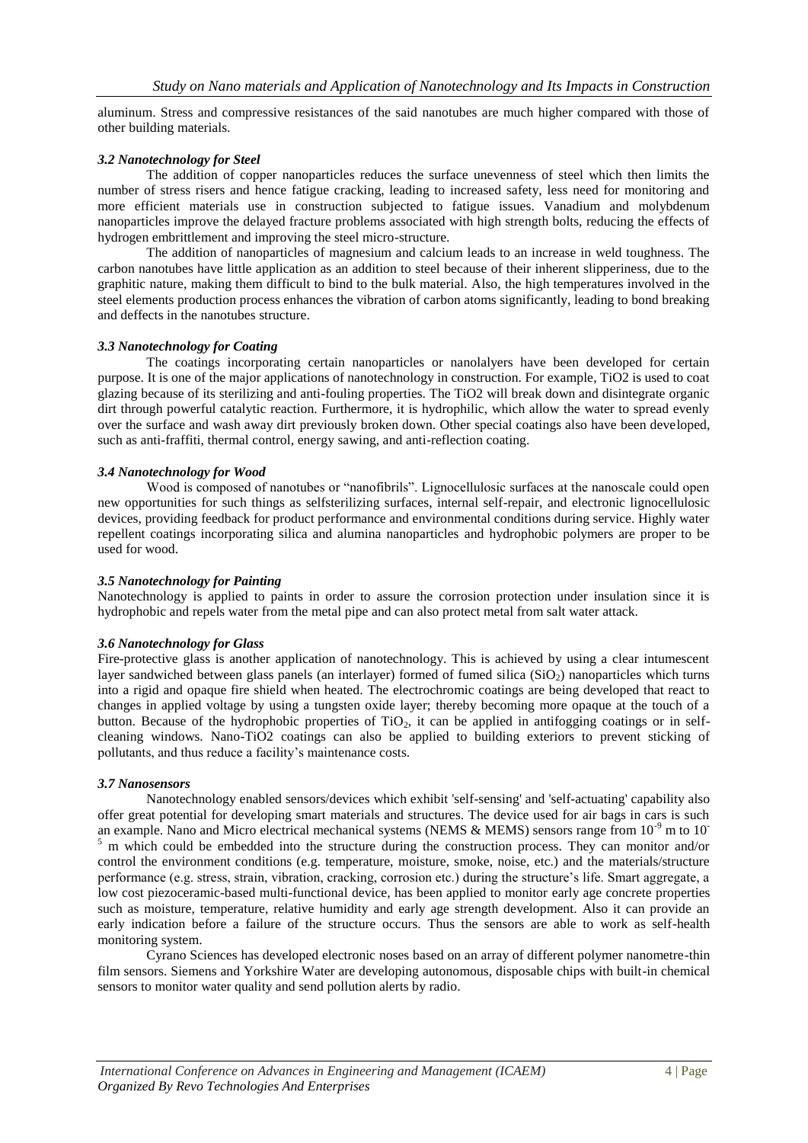aluminum. Stress and compressive resistances of the said nanotubes are much higher compared with those of other building materials.

## *3.2 Nanotechnology for Steel*

The addition of copper nanoparticles reduces the surface unevenness of steel which then limits the number of stress risers and hence fatigue cracking, leading to increased safety, less need for monitoring and more efficient materials use in construction subjected to fatigue issues. Vanadium and molybdenum nanoparticles improve the delayed fracture problems associated with high strength bolts, reducing the effects of hydrogen embrittlement and improving the steel micro-structure.

The addition of nanoparticles of magnesium and calcium leads to an increase in weld toughness. The carbon nanotubes have little application as an addition to steel because of their inherent slipperiness, due to the graphitic nature, making them difficult to bind to the bulk material. Also, the high temperatures involved in the steel elements production process enhances the vibration of carbon atoms significantly, leading to bond breaking and deffects in the nanotubes structure.

#### *3.3 Nanotechnology for Coating*

The coatings incorporating certain nanoparticles or nanolalyers have been developed for certain purpose. It is one of the major applications of nanotechnology in construction. For example, TiO2 is used to coat glazing because of its sterilizing and anti-fouling properties. The TiO2 will break down and disintegrate organic dirt through powerful catalytic reaction. Furthermore, it is hydrophilic, which allow the water to spread evenly over the surface and wash away dirt previously broken down. Other special coatings also have been developed, such as anti-fraffiti, thermal control, energy sawing, and anti-reflection coating.

## *3.4 Nanotechnology for Wood*

Wood is composed of nanotubes or "nanofibrils". Lignocellulosic surfaces at the nanoscale could open new opportunities for such things as selfsterilizing surfaces, internal self-repair, and electronic lignocellulosic devices, providing feedback for product performance and environmental conditions during service. Highly water repellent coatings incorporating silica and alumina nanoparticles and hydrophobic polymers are proper to be used for wood.

#### *3.5 Nanotechnology for Painting*

Nanotechnology is applied to paints in order to assure the corrosion protection under insulation since it is hydrophobic and repels water from the metal pipe and can also protect metal from salt water attack.

# *3.6 Nanotechnology for Glass*

Fire-protective glass is another application of nanotechnology. This is achieved by using a clear intumescent layer sandwiched between glass panels (an interlayer) formed of fumed silica ( $SiO<sub>2</sub>$ ) nanoparticles which turns into a rigid and opaque fire shield when heated. The electrochromic coatings are being developed that react to changes in applied voltage by using a tungsten oxide layer; thereby becoming more opaque at the touch of a button. Because of the hydrophobic properties of TiO<sub>2</sub>, it can be applied in antifogging coatings or in selfcleaning windows. Nano-TiO2 coatings can also be applied to building exteriors to prevent sticking of pollutants, and thus reduce a facility's maintenance costs.

#### *3.7 Nanosensors*

Nanotechnology enabled sensors/devices which exhibit 'self-sensing' and 'self-actuating' capability also offer great potential for developing smart materials and structures. The device used for air bags in cars is such an example. Nano and Micro electrical mechanical systems (NEMS & MEMS) sensors range from  $10^{-9}$  m to  $10^{-7}$  $\frac{5}{5}$  m which could be embedded into the structure during the construction process. They can monitor and/or control the environment conditions (e.g. temperature, moisture, smoke, noise, etc.) and the materials/structure performance (e.g. stress, strain, vibration, cracking, corrosion etc.) during the structure's life. Smart aggregate, a low cost piezoceramic-based multi-functional device, has been applied to monitor early age concrete properties such as moisture, temperature, relative humidity and early age strength development. Also it can provide an early indication before a failure of the structure occurs. Thus the sensors are able to work as self-health monitoring system.

Cyrano Sciences has developed electronic noses based on an array of different polymer nanometre-thin film sensors. Siemens and Yorkshire Water are developing autonomous, disposable chips with built-in chemical sensors to monitor water quality and send pollution alerts by radio.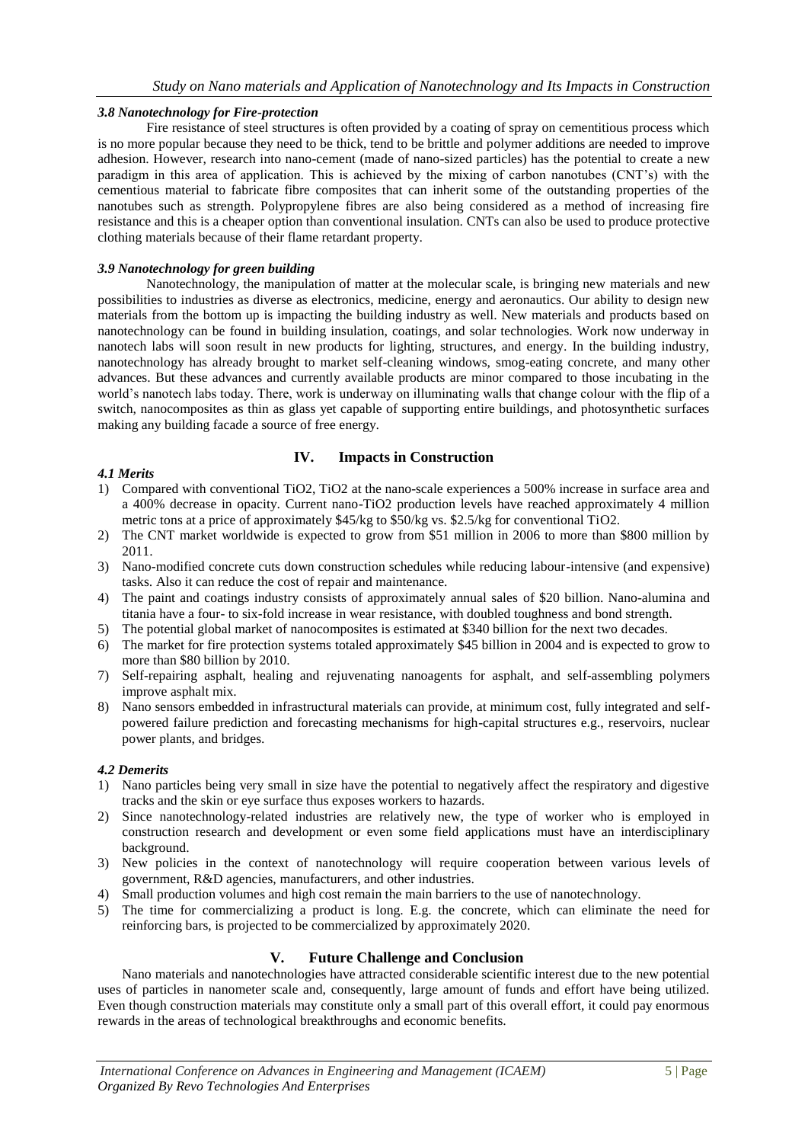## *3.8 Nanotechnology for Fire-protection*

Fire resistance of steel structures is often provided by a coating of spray on cementitious process which is no more popular because they need to be thick, tend to be brittle and polymer additions are needed to improve adhesion. However, research into nano-cement (made of nano-sized particles) has the potential to create a new paradigm in this area of application. This is achieved by the mixing of carbon nanotubes (CNT's) with the cementious material to fabricate fibre composites that can inherit some of the outstanding properties of the nanotubes such as strength. Polypropylene fibres are also being considered as a method of increasing fire resistance and this is a cheaper option than conventional insulation. CNTs can also be used to produce protective clothing materials because of their flame retardant property.

## *3.9 Nanotechnology for green building*

Nanotechnology, the manipulation of matter at the molecular scale, is bringing new materials and new possibilities to industries as diverse as electronics, medicine, energy and aeronautics. Our ability to design new materials from the bottom up is impacting the building industry as well. New materials and products based on nanotechnology can be found in building insulation, coatings, and solar technologies. Work now underway in nanotech labs will soon result in new products for lighting, structures, and energy. In the building industry, nanotechnology has already brought to market self-cleaning windows, smog-eating concrete, and many other advances. But these advances and currently available products are minor compared to those incubating in the world's nanotech labs today. There, work is underway on illuminating walls that change colour with the flip of a switch, nanocomposites as thin as glass yet capable of supporting entire buildings, and photosynthetic surfaces making any building facade a source of free energy.

# **IV. Impacts in Construction**

## *4.1 Merits*

- 1) Compared with conventional TiO2, TiO2 at the nano-scale experiences a 500% increase in surface area and a 400% decrease in opacity. Current nano-TiO2 production levels have reached approximately 4 million metric tons at a price of approximately \$45/kg to \$50/kg vs. \$2.5/kg for conventional TiO2.
- 2) The CNT market worldwide is expected to grow from \$51 million in 2006 to more than \$800 million by 2011.
- 3) Nano-modified concrete cuts down construction schedules while reducing labour-intensive (and expensive) tasks. Also it can reduce the cost of repair and maintenance.
- 4) The paint and coatings industry consists of approximately annual sales of \$20 billion. Nano-alumina and titania have a four- to six-fold increase in wear resistance, with doubled toughness and bond strength.
- 5) The potential global market of nanocomposites is estimated at \$340 billion for the next two decades.
- 6) The market for fire protection systems totaled approximately \$45 billion in 2004 and is expected to grow to more than \$80 billion by 2010.
- 7) Self-repairing asphalt, healing and rejuvenating nanoagents for asphalt, and self-assembling polymers improve asphalt mix.
- 8) Nano sensors embedded in infrastructural materials can provide, at minimum cost, fully integrated and selfpowered failure prediction and forecasting mechanisms for high-capital structures e.g., reservoirs, nuclear power plants, and bridges.

#### *4.2 Demerits*

- 1) Nano particles being very small in size have the potential to negatively affect the respiratory and digestive tracks and the skin or eye surface thus exposes workers to hazards.
- 2) Since nanotechnology-related industries are relatively new, the type of worker who is employed in construction research and development or even some field applications must have an interdisciplinary background.
- 3) New policies in the context of nanotechnology will require cooperation between various levels of government, R&D agencies, manufacturers, and other industries.
- 4) Small production volumes and high cost remain the main barriers to the use of nanotechnology.
- 5) The time for commercializing a product is long. E.g. the concrete, which can eliminate the need for reinforcing bars, is projected to be commercialized by approximately 2020.

# **V. Future Challenge and Conclusion**

Nano materials and nanotechnologies have attracted considerable scientific interest due to the new potential uses of particles in nanometer scale and, consequently, large amount of funds and effort have being utilized. Even though construction materials may constitute only a small part of this overall effort, it could pay enormous rewards in the areas of technological breakthroughs and economic benefits.